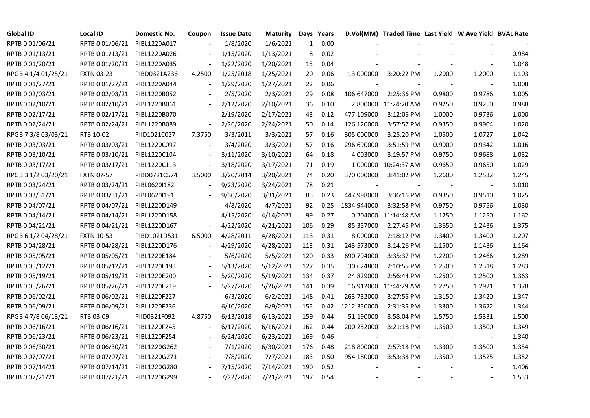| <b>Global ID</b>    | <b>Local ID</b>   | Domestic No. | Coupon                   | <b>Issue Date</b> | <b>Maturity</b> |              | Days Years |             | D.Vol(MM) Traded Time Last Yield W.Ave Yield BVAL Rate |        |                          |       |
|---------------------|-------------------|--------------|--------------------------|-------------------|-----------------|--------------|------------|-------------|--------------------------------------------------------|--------|--------------------------|-------|
| RPTB 0 01/06/21     | RPTB 0 01/06/21   | PIBL1220A017 |                          | 1/8/2020          | 1/6/2021        | $\mathbf{1}$ | 0.00       |             |                                                        |        |                          |       |
| RPTB 0 01/13/21     | RPTB 0 01/13/21   | PIBL1220A026 |                          | 1/15/2020         | 1/13/2021       | 8            | 0.02       |             |                                                        |        |                          | 0.984 |
| RPTB 0 01/20/21     | RPTB 0 01/20/21   | PIBL1220A035 |                          | 1/22/2020         | 1/20/2021       | 15           | 0.04       |             |                                                        |        |                          | 1.048 |
| RPGB 4 1/4 01/25/21 | <b>FXTN 03-23</b> | PIBD0321A236 | 4.2500                   | 1/25/2018         | 1/25/2021       | 20           | 0.06       | 13.000000   | 3:20:22 PM                                             | 1.2000 | 1.2000                   | 1.103 |
| RPTB 0 01/27/21     | RPTB 0 01/27/21   | PIBL1220A044 |                          | 1/29/2020         | 1/27/2021       | 22           | 0.06       |             |                                                        |        |                          | 1.008 |
| RPTB 0 02/03/21     | RPTB 0 02/03/21   | PIBL1220B052 |                          | 2/5/2020          | 2/3/2021        | 29           | 0.08       | 106.647000  | 2:25:36 PM                                             | 0.9800 | 0.9786                   | 1.005 |
| RPTB 0 02/10/21     | RPTB 0 02/10/21   | PIBL1220B061 |                          | 2/12/2020         | 2/10/2021       | 36           | 0.10       | 2.800000    | 11:24:20 AM                                            | 0.9250 | 0.9250                   | 0.988 |
| RPTB 0 02/17/21     | RPTB 0 02/17/21   | PIBL1220B070 |                          | 2/19/2020         | 2/17/2021       | 43           | 0.12       | 477.109000  | 3:12:06 PM                                             | 1.0000 | 0.9736                   | 1.000 |
| RPTB 0 02/24/21     | RPTB 0 02/24/21   | PIBL1220B089 |                          | 2/26/2020         | 2/24/2021       | 50           | 0.14       | 126.120000  | 3:57:57 PM                                             | 0.9350 | 0.9904                   | 1.020 |
| RPGB 7 3/8 03/03/21 | RTB 10-02         | PIID1021C027 | 7.3750                   | 3/3/2011          | 3/3/2021        | 57           | 0.16       | 305.000000  | 3:25:20 PM                                             | 1.0500 | 1.0727                   | 1.042 |
| RPTB 0 03/03/21     | RPTB 0 03/03/21   | PIBL1220C097 | $\overline{a}$           | 3/4/2020          | 3/3/2021        | 57           | 0.16       | 296.690000  | 3:51:59 PM                                             | 0.9000 | 0.9342                   | 1.016 |
| RPTB 0 03/10/21     | RPTB 0 03/10/21   | PIBL1220C104 | $\overline{a}$           | 3/11/2020         | 3/10/2021       | 64           | 0.18       | 4.003000    | 3:19:57 PM                                             | 0.9750 | 0.9688                   | 1.032 |
| RPTB 0 03/17/21     | RPTB 0 03/17/21   | PIBL1220C113 |                          | 3/18/2020         | 3/17/2021       | 71           | 0.19       | 1.000000    | 10:24:37 AM                                            | 0.9650 | 0.9650                   | 1.029 |
| RPGB 3 1/2 03/20/21 | <b>FXTN 07-57</b> | PIBD0721C574 | 3.5000                   | 3/20/2014         | 3/20/2021       | 74           | 0.20       | 370.000000  | 3:41:02 PM                                             | 1.2600 | 1.2532                   | 1.245 |
| RPTB 0 03/24/21     | RPTB 0 03/24/21   | PIBL0620I182 |                          | 9/23/2020         | 3/24/2021       | 78           | 0.21       |             |                                                        |        | $\overline{\phantom{a}}$ | 1.010 |
| RPTB 0 03/31/21     | RPTB 0 03/31/21   | PIBL0620I191 |                          | 9/30/2020         | 3/31/2021       | 85           | 0.23       | 447.998000  | 3:36:16 PM                                             | 0.9350 | 0.9510                   | 1.025 |
| RPTB 0 04/07/21     | RPTB 0 04/07/21   | PIBL1220D149 |                          | 4/8/2020          | 4/7/2021        | 92           | 0.25       | 1834.944000 | 3:32:58 PM                                             | 0.9750 | 0.9756                   | 1.030 |
| RPTB 0 04/14/21     | RPTB 0 04/14/21   | PIBL1220D158 | $\overline{\phantom{a}}$ | 4/15/2020         | 4/14/2021       | 99           | 0.27       | 0.204000    | 11:14:48 AM                                            | 1.1250 | 1.1250                   | 1.162 |
| RPTB 0 04/21/21     | RPTB 0 04/21/21   | PIBL1220D167 | $\frac{1}{2}$            | 4/22/2020         | 4/21/2021       | 106          | 0.29       | 85.357000   | 2:27:45 PM                                             | 1.3650 | 1.2436                   | 1.375 |
| RPGB 6 1/2 04/28/21 | <b>FXTN 10-53</b> | PIBD1021D531 | 6.5000                   | 4/28/2011         | 4/28/2021       | 113          | 0.31       | 8.000000    | 2:18:12 PM                                             | 1.3400 | 1.3400                   | 1.207 |
| RPTB 0 04/28/21     | RPTB 0 04/28/21   | PIBL1220D176 |                          | 4/29/2020         | 4/28/2021       | 113          | 0.31       | 243.573000  | 3:14:26 PM                                             | 1.1500 | 1.1436                   | 1.164 |
| RPTB 0 05/05/21     | RPTB 0 05/05/21   | PIBL1220E184 |                          | 5/6/2020          | 5/5/2021        | 120          | 0.33       | 690.794000  | 3:35:37 PM                                             | 1.2200 | 1.2466                   | 1.289 |
| RPTB 0 05/12/21     | RPTB 0 05/12/21   | PIBL1220E193 |                          | 5/13/2020         | 5/12/2021       | 127          | 0.35       | 30.624800   | 2:10:55 PM                                             | 1.2500 | 1.2318                   | 1.283 |
| RPTB 0 05/19/21     | RPTB 0 05/19/21   | PIBL1220E200 |                          | 5/20/2020         | 5/19/2021       | 134          | 0.37       | 24.829000   | 2:56:44 PM                                             | 1.2500 | 1.2500                   | 1.363 |
| RPTB 0 05/26/21     | RPTB 0 05/26/21   | PIBL1220E219 |                          | 5/27/2020         | 5/26/2021       | 141          | 0.39       | 16.912000   | 11:44:29 AM                                            | 1.2750 | 1.2921                   | 1.378 |
| RPTB 0 06/02/21     | RPTB 0 06/02/21   | PIBL1220F227 |                          | 6/3/2020          | 6/2/2021        | 148          | 0.41       | 263.732000  | 3:27:56 PM                                             | 1.3150 | 1.3420                   | 1.347 |
| RPTB 0 06/09/21     | RPTB 0 06/09/21   | PIBL1220F236 | $\frac{1}{2}$            | 6/10/2020         | 6/9/2021        | 155          | 0.42       | 1212.350000 | 2:31:35 PM                                             | 1.3300 | 1.3622                   | 1.344 |
| RPGB 4 7/8 06/13/21 | RTB 03-09         | PIID0321F092 | 4.8750                   | 6/13/2018         | 6/13/2021       | 159          | 0.44       | 51.190000   | 3:58:04 PM                                             | 1.5750 | 1.5331                   | 1.500 |
| RPTB 0 06/16/21     | RPTB 0 06/16/21   | PIBL1220F245 |                          | 6/17/2020         | 6/16/2021       | 162          | 0.44       | 200.252000  | 3:21:18 PM                                             | 1.3500 | 1.3500                   | 1.349 |
| RPTB 0 06/23/21     | RPTB 0 06/23/21   | PIBL1220F254 |                          | 6/24/2020         | 6/23/2021       | 169          | 0.46       |             |                                                        |        |                          | 1.340 |
| RPTB 0 06/30/21     | RPTB 0 06/30/21   | PIBL1220G262 |                          | 7/1/2020          | 6/30/2021       | 176          | 0.48       | 218.800000  | 2:57:18 PM                                             | 1.3300 | 1.3500                   | 1.354 |
| RPTB 0 07/07/21     | RPTB 0 07/07/21   | PIBL1220G271 |                          | 7/8/2020          | 7/7/2021        | 183          | 0.50       | 954.180000  | 3:53:38 PM                                             | 1.3500 | 1.3525                   | 1.352 |
| RPTB 0 07/14/21     | RPTB 0 07/14/21   | PIBL1220G280 |                          | 7/15/2020         | 7/14/2021       | 190          | 0.52       |             |                                                        |        |                          | 1.406 |
| RPTB 0 07/21/21     | RPTB 0 07/21/21   | PIBL1220G299 |                          | 7/22/2020         | 7/21/2021       | 197          | 0.54       |             |                                                        |        |                          | 1.533 |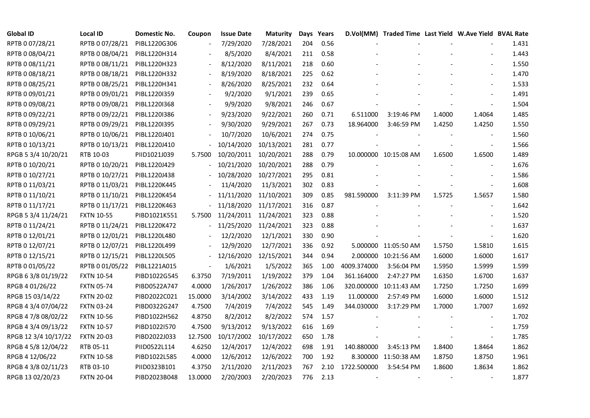| <b>Global ID</b>     | <b>Local ID</b>   | Domestic No. | Coupon                   | <b>Issue Date</b> | <b>Maturity</b> |     | Days Years |             | D.Vol(MM) Traded Time Last Yield W.Ave Yield BVAL Rate |        |                          |       |
|----------------------|-------------------|--------------|--------------------------|-------------------|-----------------|-----|------------|-------------|--------------------------------------------------------|--------|--------------------------|-------|
| RPTB 0 07/28/21      | RPTB 0 07/28/21   | PIBL1220G306 |                          | 7/29/2020         | 7/28/2021       | 204 | 0.56       |             |                                                        |        |                          | 1.431 |
| RPTB 0 08/04/21      | RPTB 0 08/04/21   | PIBL1220H314 |                          | 8/5/2020          | 8/4/2021        | 211 | 0.58       |             |                                                        |        |                          | 1.443 |
| RPTB 0 08/11/21      | RPTB 0 08/11/21   | PIBL1220H323 |                          | 8/12/2020         | 8/11/2021       | 218 | 0.60       |             |                                                        |        |                          | 1.550 |
| RPTB 0 08/18/21      | RPTB 0 08/18/21   | PIBL1220H332 | $\overline{\phantom{a}}$ | 8/19/2020         | 8/18/2021       | 225 | 0.62       |             |                                                        |        |                          | 1.470 |
| RPTB 0 08/25/21      | RPTB 0 08/25/21   | PIBL1220H341 |                          | 8/26/2020         | 8/25/2021       | 232 | 0.64       |             |                                                        |        |                          | 1.533 |
| RPTB 0 09/01/21      | RPTB 0 09/01/21   | PIBL12201359 |                          | 9/2/2020          | 9/1/2021        | 239 | 0.65       |             |                                                        |        |                          | 1.491 |
| RPTB 0 09/08/21      | RPTB 0 09/08/21   | PIBL1220I368 |                          | 9/9/2020          | 9/8/2021        | 246 | 0.67       |             |                                                        |        |                          | 1.504 |
| RPTB 0 09/22/21      | RPTB 0 09/22/21   | PIBL1220I386 |                          | 9/23/2020         | 9/22/2021       | 260 | 0.71       | 6.511000    | 3:19:46 PM                                             | 1.4000 | 1.4064                   | 1.485 |
| RPTB 0 09/29/21      | RPTB 0 09/29/21   | PIBL1220I395 |                          | 9/30/2020         | 9/29/2021       | 267 | 0.73       | 18.964000   | 3:46:59 PM                                             | 1.4250 | 1.4250                   | 1.550 |
| RPTB 0 10/06/21      | RPTB 0 10/06/21   | PIBL1220J401 |                          | 10/7/2020         | 10/6/2021       | 274 | 0.75       |             |                                                        |        |                          | 1.560 |
| RPTB 0 10/13/21      | RPTB 0 10/13/21   | PIBL1220J410 |                          | 10/14/2020        | 10/13/2021      | 281 | 0.77       |             |                                                        |        |                          | 1.566 |
| RPGB 5 3/4 10/20/21  | RTB 10-03         | PIID1021J039 | 5.7500                   | 10/20/2011        | 10/20/2021      | 288 | 0.79       |             | 10.000000 10:15:08 AM                                  | 1.6500 | 1.6500                   | 1.489 |
| RPTB 0 10/20/21      | RPTB 0 10/20/21   | PIBL1220J429 |                          | 10/21/2020        | 10/20/2021      | 288 | 0.79       |             |                                                        |        | $\overline{\phantom{a}}$ | 1.676 |
| RPTB 0 10/27/21      | RPTB 0 10/27/21   | PIBL1220J438 |                          | 10/28/2020        | 10/27/2021      | 295 | 0.81       |             |                                                        |        |                          | 1.586 |
| RPTB 0 11/03/21      | RPTB 0 11/03/21   | PIBL1220K445 |                          | 11/4/2020         | 11/3/2021       | 302 | 0.83       |             |                                                        |        | $\overline{\phantom{a}}$ | 1.608 |
| RPTB 0 11/10/21      | RPTB 0 11/10/21   | PIBL1220K454 |                          | 11/11/2020        | 11/10/2021      | 309 | 0.85       | 981.590000  | 3:11:39 PM                                             | 1.5725 | 1.5657                   | 1.580 |
| RPTB 0 11/17/21      | RPTB 0 11/17/21   | PIBL1220K463 |                          | 11/18/2020        | 11/17/2021      | 316 | 0.87       |             |                                                        |        |                          | 1.642 |
| RPGB 5 3/4 11/24/21  | <b>FXTN 10-55</b> | PIBD1021K551 | 5.7500                   | 11/24/2011        | 11/24/2021      | 323 | 0.88       |             |                                                        |        |                          | 1.520 |
| RPTB 0 11/24/21      | RPTB 0 11/24/21   | PIBL1220K472 |                          | 11/25/2020        | 11/24/2021      | 323 | 0.88       |             |                                                        |        |                          | 1.637 |
| RPTB 0 12/01/21      | RPTB 0 12/01/21   | PIBL1220L480 |                          | 12/2/2020         | 12/1/2021       | 330 | 0.90       |             |                                                        |        | $\blacksquare$           | 1.620 |
| RPTB 0 12/07/21      | RPTB 0 12/07/21   | PIBL1220L499 |                          | 12/9/2020         | 12/7/2021       | 336 | 0.92       |             | 5.000000 11:05:50 AM                                   | 1.5750 | 1.5810                   | 1.615 |
| RPTB 0 12/15/21      | RPTB 0 12/15/21   | PIBL1220L505 |                          | 12/16/2020        | 12/15/2021      | 344 | 0.94       |             | 2.000000 10:21:56 AM                                   | 1.6000 | 1.6000                   | 1.617 |
| RPTB 0 01/05/22      | RPTB 0 01/05/22   | PIBL1221A015 |                          | 1/6/2021          | 1/5/2022        | 365 | 1.00       | 4009.374000 | 3:56:04 PM                                             | 1.5950 | 1.5999                   | 1.599 |
| RPGB 63/8 01/19/22   | <b>FXTN 10-54</b> | PIBD1022G545 | 6.3750                   | 7/19/2011         | 1/19/2022       | 379 | 1.04       | 361.164000  | 2:47:27 PM                                             | 1.6350 | 1.6700                   | 1.637 |
| RPGB 4 01/26/22      | <b>FXTN 05-74</b> | PIBD0522A747 | 4.0000                   | 1/26/2017         | 1/26/2022       | 386 | 1.06       | 320.000000  | 10:11:43 AM                                            | 1.7250 | 1.7250                   | 1.699 |
| RPGB 15 03/14/22     | <b>FXTN 20-02</b> | PIBD2022C021 | 15.0000                  | 3/14/2002         | 3/14/2022       | 433 | 1.19       | 11.000000   | 2:57:49 PM                                             | 1.6000 | 1.6000                   | 1.512 |
| RPGB 4 3/4 07/04/22  | <b>FXTN 03-24</b> | PIBD0322G247 | 4.7500                   | 7/4/2019          | 7/4/2022        | 545 | 1.49       | 344.030000  | 3:17:29 PM                                             | 1.7000 | 1.7007                   | 1.692 |
| RPGB 4 7/8 08/02/22  | <b>FXTN 10-56</b> | PIBD1022H562 | 4.8750                   | 8/2/2012          | 8/2/2022        | 574 | 1.57       |             |                                                        |        |                          | 1.702 |
| RPGB 4 3/4 09/13/22  | <b>FXTN 10-57</b> | PIBD1022I570 | 4.7500                   | 9/13/2012         | 9/13/2022       | 616 | 1.69       |             |                                                        |        |                          | 1.759 |
| RPGB 12 3/4 10/17/22 | <b>FXTN 20-03</b> | PIBD2022J033 | 12.7500                  | 10/17/2002        | 10/17/2022      | 650 | 1.78       |             |                                                        |        |                          | 1.785 |
| RPGB 4 5/8 12/04/22  | RTB 05-11         | PIID0522L114 | 4.6250                   | 12/4/2017         | 12/4/2022       | 698 | 1.91       | 140.880000  | 3:45:13 PM                                             | 1.8400 | 1.8464                   | 1.862 |
| RPGB 4 12/06/22      | <b>FXTN 10-58</b> | PIBD1022L585 | 4.0000                   | 12/6/2012         | 12/6/2022       | 700 | 1.92       |             | 8.300000 11:50:38 AM                                   | 1.8750 | 1.8750                   | 1.961 |
| RPGB 4 3/8 02/11/23  | RTB 03-10         | PIID0323B101 | 4.3750                   | 2/11/2020         | 2/11/2023       | 767 | 2.10       | 1722.500000 | 3:54:54 PM                                             | 1.8600 | 1.8634                   | 1.862 |
| RPGB 13 02/20/23     | <b>FXTN 20-04</b> | PIBD2023B048 | 13.0000                  | 2/20/2003         | 2/20/2023       | 776 | 2.13       |             |                                                        |        |                          | 1.877 |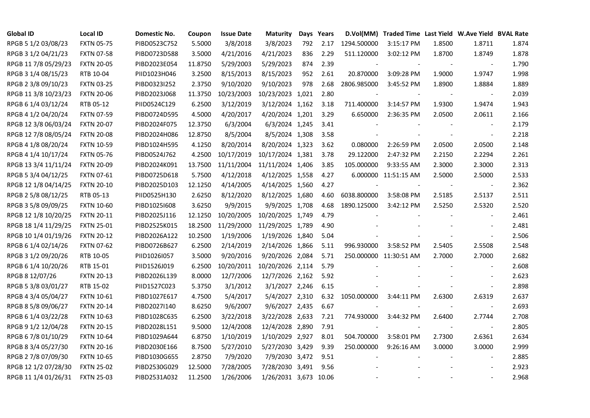| <b>Global ID</b>     | <b>Local ID</b>   | Domestic No. | Coupon  | <b>Issue Date</b> | Maturity              |     | Days Years |             | D.Vol(MM) Traded Time Last Yield W.Ave Yield BVAL Rate |        |                          |       |
|----------------------|-------------------|--------------|---------|-------------------|-----------------------|-----|------------|-------------|--------------------------------------------------------|--------|--------------------------|-------|
| RPGB 5 1/2 03/08/23  | <b>FXTN 05-75</b> | PIBD0523C752 | 5.5000  | 3/8/2018          | 3/8/2023              | 792 | 2.17       | 1294.500000 | 3:15:17 PM                                             | 1.8500 | 1.8711                   | 1.874 |
| RPGB 3 1/2 04/21/23  | <b>FXTN 07-58</b> | PIBD0723D588 | 3.5000  | 4/21/2016         | 4/21/2023             | 836 | 2.29       | 511.120000  | 3:02:12 PM                                             | 1.8700 | 1.8749                   | 1.878 |
| RPGB 11 7/8 05/29/23 | <b>FXTN 20-05</b> | PIBD2023E054 | 11.8750 | 5/29/2003         | 5/29/2023             | 874 | 2.39       |             |                                                        |        | $\overline{\phantom{a}}$ | 1.790 |
| RPGB 3 1/4 08/15/23  | RTB 10-04         | PIID1023H046 | 3.2500  | 8/15/2013         | 8/15/2023             | 952 | 2.61       | 20.870000   | 3:09:28 PM                                             | 1.9000 | 1.9747                   | 1.998 |
| RPGB 2 3/8 09/10/23  | <b>FXTN 03-25</b> | PIBD0323I252 | 2.3750  | 9/10/2020         | 9/10/2023             | 978 | 2.68       | 2806.985000 | 3:45:52 PM                                             | 1.8900 | 1.8884                   | 1.889 |
| RPGB 11 3/8 10/23/23 | <b>FXTN 20-06</b> | PIBD2023J068 | 11.3750 | 10/23/2003        | 10/23/2023 1,021      |     | 2.80       |             |                                                        |        | $\blacksquare$           | 2.039 |
| RPGB 6 1/4 03/12/24  | RTB 05-12         | PIID0524C129 | 6.2500  | 3/12/2019         | 3/12/2024 1,162       |     | 3.18       | 711.400000  | 3:14:57 PM                                             | 1.9300 | 1.9474                   | 1.943 |
| RPGB 4 1/2 04/20/24  | <b>FXTN 07-59</b> | PIBD0724D595 | 4.5000  | 4/20/2017         | 4/20/2024 1,201       |     | 3.29       | 6.650000    | 2:36:35 PM                                             | 2.0500 | 2.0611                   | 2.166 |
| RPGB 12 3/8 06/03/24 | <b>FXTN 20-07</b> | PIBD2024F075 | 12.3750 | 6/3/2004          | 6/3/2024 1,245        |     | 3.41       |             |                                                        |        |                          | 2.179 |
| RPGB 12 7/8 08/05/24 | <b>FXTN 20-08</b> | PIBD2024H086 | 12.8750 | 8/5/2004          | 8/5/2024 1,308        |     | 3.58       |             |                                                        |        |                          | 2.218 |
| RPGB 4 1/8 08/20/24  | <b>FXTN 10-59</b> | PIBD1024H595 | 4.1250  | 8/20/2014         | 8/20/2024 1,323       |     | 3.62       | 0.080000    | 2:26:59 PM                                             | 2.0500 | 2.0500                   | 2.148 |
| RPGB 4 1/4 10/17/24  | <b>FXTN 05-76</b> | PIBD0524J762 | 4.2500  | 10/17/2019        | 10/17/2024 1,381      |     | 3.78       | 29.122000   | 2:47:32 PM                                             | 2.2150 | 2.2294                   | 2.261 |
| RPGB 13 3/4 11/11/24 | <b>FXTN 20-09</b> | PIBD2024K091 | 13.7500 | 11/11/2004        | 11/11/2024 1,406      |     | 3.85       | 105.000000  | 9:33:55 AM                                             | 2.3000 | 2.3000                   | 2.313 |
| RPGB 5 3/4 04/12/25  | <b>FXTN 07-61</b> | PIBD0725D618 | 5.7500  | 4/12/2018         | 4/12/2025 1,558       |     | 4.27       |             | 6.000000 11:51:15 AM                                   | 2.5000 | 2.5000                   | 2.533 |
| RPGB 12 1/8 04/14/25 | <b>FXTN 20-10</b> | PIBD2025D103 | 12.1250 | 4/14/2005         | 4/14/2025 1,560       |     | 4.27       |             |                                                        |        | $\overline{\phantom{a}}$ | 2.362 |
| RPGB 2 5/8 08/12/25  | RTB 05-13         | PIID0525H130 | 2.6250  | 8/12/2020         | 8/12/2025 1,680       |     | 4.60       | 6038.800000 | 3:58:08 PM                                             | 2.5185 | 2.5137                   | 2.511 |
| RPGB 3 5/8 09/09/25  | <b>FXTN 10-60</b> | PIBD10251608 | 3.6250  | 9/9/2015          | 9/9/2025 1,708        |     | 4.68       | 1890.125000 | 3:42:12 PM                                             | 2.5250 | 2.5320                   | 2.520 |
| RPGB 12 1/8 10/20/25 | <b>FXTN 20-11</b> | PIBD2025J116 | 12.1250 | 10/20/2005        | 10/20/2025 1,749      |     | 4.79       |             |                                                        |        | $\overline{\phantom{a}}$ | 2.461 |
| RPGB 18 1/4 11/29/25 | <b>FXTN 25-01</b> | PIBD2525K015 | 18.2500 | 11/29/2000        | 11/29/2025 1,789      |     | 4.90       |             |                                                        |        |                          | 2.481 |
| RPGB 10 1/4 01/19/26 | <b>FXTN 20-12</b> | PIBD2026A122 | 10.2500 | 1/19/2006         | 1/19/2026 1,840       |     | 5.04       |             |                                                        |        | $\overline{\phantom{a}}$ | 2.506 |
| RPGB 6 1/4 02/14/26  | <b>FXTN 07-62</b> | PIBD0726B627 | 6.2500  | 2/14/2019         | 2/14/2026 1,866       |     | 5.11       | 996.930000  | 3:58:52 PM                                             | 2.5405 | 2.5508                   | 2.548 |
| RPGB 3 1/2 09/20/26  | RTB 10-05         | PIID1026I057 | 3.5000  | 9/20/2016         | 9/20/2026 2,084       |     | 5.71       |             | 250.000000 11:30:51 AM                                 | 2.7000 | 2.7000                   | 2.682 |
| RPGB 6 1/4 10/20/26  | RTB 15-01         | PIID1526J019 | 6.2500  | 10/20/2011        | 10/20/2026 2,114      |     | 5.79       |             |                                                        |        |                          | 2.608 |
| RPGB 8 12/07/26      | <b>FXTN 20-13</b> | PIBD2026L139 | 8.0000  | 12/7/2006         | 12/7/2026 2,162       |     | 5.92       |             |                                                        |        |                          | 2.623 |
| RPGB 5 3/8 03/01/27  | RTB 15-02         | PIID1527C023 | 5.3750  | 3/1/2012          | 3/1/2027 2,246        |     | 6.15       |             |                                                        |        | $\blacksquare$           | 2.898 |
| RPGB 4 3/4 05/04/27  | FXTN 10-61        | PIBD1027E617 | 4.7500  | 5/4/2017          | 5/4/2027 2,310        |     | 6.32       | 1050.000000 | 3:44:11 PM                                             | 2.6300 | 2.6319                   | 2.637 |
| RPGB 8 5/8 09/06/27  | <b>FXTN 20-14</b> | PIBD2027I140 | 8.6250  | 9/6/2007          | 9/6/2027 2,435        |     | 6.67       |             |                                                        |        | $\blacksquare$           | 2.693 |
| RPGB 6 1/4 03/22/28  | <b>FXTN 10-63</b> | PIBD1028C635 | 6.2500  | 3/22/2018         | 3/22/2028 2,633       |     | 7.21       | 774.930000  | 3:44:32 PM                                             | 2.6400 | 2.7744                   | 2.708 |
| RPGB 9 1/2 12/04/28  | <b>FXTN 20-15</b> | PIBD2028L151 | 9.5000  | 12/4/2008         | 12/4/2028 2,890       |     | 7.91       |             |                                                        |        | $\blacksquare$           | 2.805 |
| RPGB 67/8 01/10/29   | <b>FXTN 10-64</b> | PIBD1029A644 | 6.8750  | 1/10/2019         | 1/10/2029 2,927       |     | 8.01       | 504.700000  | 3:58:01 PM                                             | 2.7300 | 2.6361                   | 2.634 |
| RPGB 8 3/4 05/27/30  | <b>FXTN 20-16</b> | PIBD2030E166 | 8.7500  | 5/27/2010         | 5/27/2030 3,429       |     | 9.39       | 250.000000  | 9:26:16 AM                                             | 3.0000 | 3.0000                   | 2.999 |
| RPGB 2 7/8 07/09/30  | <b>FXTN 10-65</b> | PIBD1030G655 | 2.8750  | 7/9/2020          | 7/9/2030 3,472        |     | 9.51       |             |                                                        |        | $\overline{\phantom{a}}$ | 2.885 |
| RPGB 12 1/2 07/28/30 | <b>FXTN 25-02</b> | PIBD2530G029 | 12.5000 | 7/28/2005         | 7/28/2030 3,491       |     | 9.56       |             |                                                        |        |                          | 2.923 |
| RPGB 11 1/4 01/26/31 | <b>FXTN 25-03</b> | PIBD2531A032 | 11.2500 | 1/26/2006         | 1/26/2031 3,673 10.06 |     |            |             |                                                        |        |                          | 2.968 |